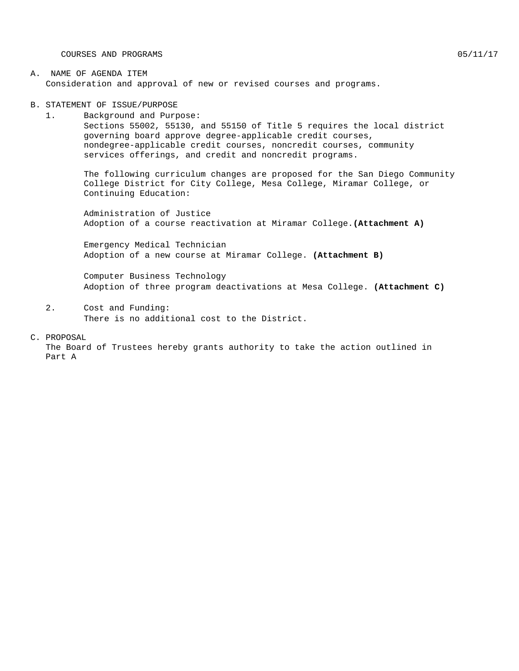COURSES AND PROGRAMS  $05/11/17$ 

#### A. NAME OF AGENDA ITEM Consideration and approval of new or revised courses and programs.

B. STATEMENT OF ISSUE/PURPOSE

1. Background and Purpose: Sections 55002, 55130, and 55150 of Title 5 requires the local district governing board approve degree-applicable credit courses, nondegree-applicable credit courses, noncredit courses, community services offerings, and credit and noncredit programs.

The following curriculum changes are proposed for the San Diego Community College District for City College, Mesa College, Miramar College, or Continuing Education:

Administration of Justice Adoption of a course reactivation at Miramar College.**(Attachment A)**

Emergency Medical Technician Adoption of a new course at Miramar College. **(Attachment B)**

Computer Business Technology Adoption of three program deactivations at Mesa College. **(Attachment C)**

2. Cost and Funding: There is no additional cost to the District.

C. PROPOSAL

The Board of Trustees hereby grants authority to take the action outlined in Part A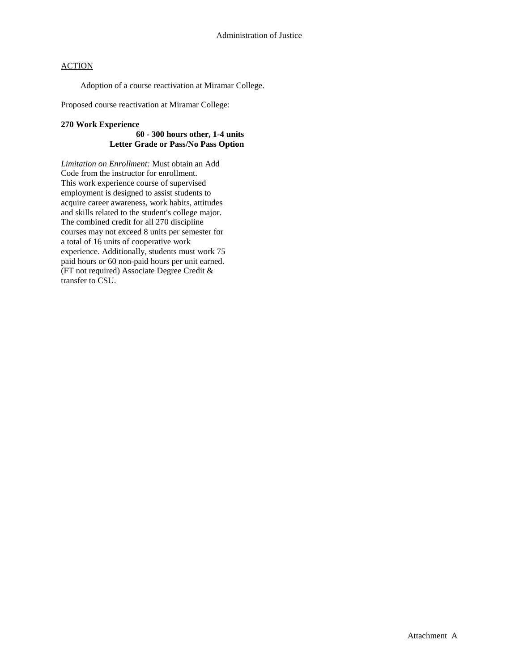### **ACTION**

Adoption of a course reactivation at Miramar College.

Proposed course reactivation at Miramar College:

#### **270 Work Experience**

#### **60 - 300 hours other, 1-4 units Letter Grade or Pass/No Pass Option**

*Limitation on Enrollment:* Must obtain an Add Code from the instructor for enrollment. This work experience course of supervised employment is designed to assist students to acquire career awareness, work habits, attitudes and skills related to the student's college major. The combined credit for all 270 discipline courses may not exceed 8 units per semester for a total of 16 units of cooperative work experience. Additionally, students must work 75 paid hours or 60 non-paid hours per unit earned. (FT not required) Associate Degree Credit & transfer to CSU.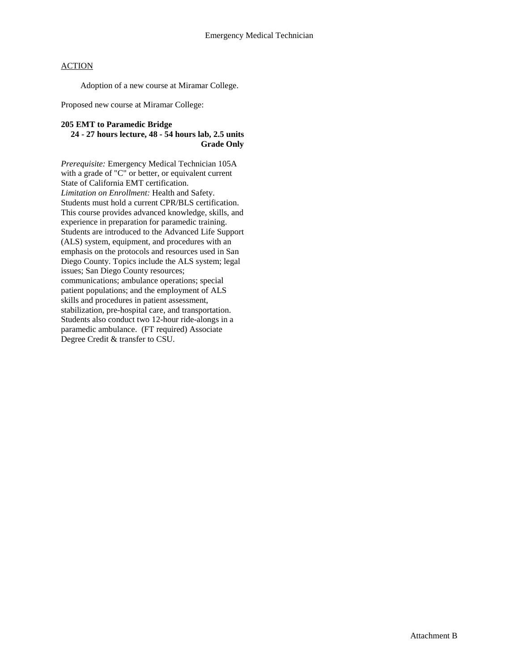### **ACTION**

Adoption of a new course at Miramar College.

Proposed new course at Miramar College:

#### **205 EMT to Paramedic Bridge 24 - 27 hours lecture, 48 - 54 hours lab, 2.5 units Grade Only**

*Prerequisite:* Emergency Medical Technician 105A with a grade of "C" or better, or equivalent current State of California EMT certification. *Limitation on Enrollment:* Health and Safety. Students must hold a current CPR/BLS certification. This course provides advanced knowledge, skills, and experience in preparation for paramedic training. Students are introduced to the Advanced Life Support (ALS) system, equipment, and procedures with an emphasis on the protocols and resources used in San Diego County. Topics include the ALS system; legal issues; San Diego County resources; communications; ambulance operations; special patient populations; and the employment of ALS skills and procedures in patient assessment, stabilization, pre-hospital care, and transportation. Students also conduct two 12-hour ride-alongs in a paramedic ambulance. (FT required) Associate Degree Credit & transfer to CSU.